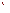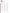

## **List of Attendees**

Stephanie Abromaitis California Department of Public Health 580 Marina Bay Parkway G-164 Richmond, CA 94801

Elena Alexandrova Bureau of Environmental and Coastal Quality P.O. Box 501304 CK Saipan Saipan, MP 96950

Valerie Alley Mississippi Department of Environmental Quality 515 East Amite Street Jackson, MS 39201

Emelie Andersson University of North Carolina, Chapel Hill 3431 Arendell Street Morehead City, NC 28557

Yaping Ao U.S. Food and Drug Administration 5100 Paint Branch Parkway College Park, MD 20740

Michael Archer Nebraska Department of Environmental Quality 1200 North Street Suite 400 P.O. Box 98922 Lincoln, NE 68509

Asli Aslan Georgia Southern University 501 Forest Drive Hendricks Hall Room 2027 Statesboro, GA 30458

Liemin Au UES, Inc. 4401 Dayton-Xenia Road Dayton, OH 45432

Stephenie Ayala Puerto Rico Environmental Quality Board P.O. Box 11488 San Juan, PR 00910

Vince Bacalan U.S. Environmental Protection Agency 223 East Street, NE Washington, DC 20002

John Backus Maryland Department of the Environment 1800 Washington Boulevard Baltimore, MD 21230

Dustin Bambic Paradigm Environmental 377 St Andrews Drive Franklin, TN 37069

Shari Barash U.S. Environmental Protection Agency 1301 Constitution Avenue, NW Washington, DC 20460

Danny Barker Hampton Roads Sanitation District 1434 Air Rail Avenue Virginia Beach, VA 23455

Elizabeth Behl U.S. Environmental Protection Agency 1200 Pennsylvania Avenue, N. W. Washington, DC 20460

Kathleen Bell University of Maine 5782 Winslow Hall Orono, ME 04469

Kent Bernier U.S. Virgin Islands Department of Planning and Natural Resources

Denene Blackwood University of North Carolina, Chapel Hill 3431 Arendell Street Morehead City, NC 28557

Manja Blazer IDEXX 5367 Lake Normandy Court Fairfax, VA 22030

Alexandria Boehm Stanford University 473 Via Ortega Mail Code: 4020 Stanford, CA 94305

Tracy Bone U.S. Environmental Protection Agency 1401 Pennsylvania Avenue Washington, DC 20460

Michael Bott Delaware Department of Natural Resources and Environmental Control 100 W. Water Street Suite 10 B Dover, DE 19904

Andrea Bourgeois-Calvin Lake Pontchartrain Basin Foundation 2045 Lakeshore Drive Metairie, LA 70122

Nick Brakband Los Angeles County 5050 Commerce Drive Baldwin Park, CA 91706

João Brandão National Institute of Health Department of Environmental Health - Water and Soil Unit Avenida Padre Cruz Lisboa, Portugal 1416-019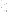

Shannon Briggs Michigan Department of Environmental Quality 525 West Allegan Street Lansing, MI 48909

Chad Brown Washington State Department of Ecology P.O. Box 47600 Olympia, WA 98504

Erin Bryan-Millush North Carolina Department of Environmental Quality P.O. Box 769 Morehead City, NC 28584

Erick Burres California State Water Resources Control Board 320 West 4th Street Suite 200 Los Angeles, CA 90013

Michelle Caldwell Indiana Department of Environmental Management 330 W. US HWY 30 Valparaiso, IN 46385

Annalaura Carducci University of Pisa Via S. Zeno 35-39 Pisa, Italy I-56127

Sonya Carlson New Hampshire Department of Environmental Services 29 Hazen Drive Concord, NH 03301

Michael Celona Massachusetts Department of Public Health 250 Washington Street 7th Floor Boston, MA 02108

Elizabeth Cheney Georgia Department of Natural Resources Coastal Resources Division One Conservation Way Brunswick, GA 31520

Tara Chetock Oregon Health Authority 800 NE Oregon Street Suite 640 Portland, OR 97209

Melody Chimahusky Mississippi Department of Environmental Quality 515 East Amite Street Jackson, MS 39201

Samuel Choi Orange County Sanitation District 10844 Ellis Avenue Fountain Valley, CA 92708

Stewart Chute Connecticut Department of Public Health 410 Capitol Avenue Hartford, CT 06134

Mark Citriglia Northeast Ohio Regional Sewer District 4747 East 49th Street Cuyahoga Heights, OH 44125

Mary Clifton Ohio Department of Health 35 East Chestnut Street Columbus, OH 43215

Jack Colford, Jr. University of California, Berkeley 101 Haviland Hall Berkeley, CA 94110

Judy Comley 1518 Piper Dunes Place Amelia Island, FL 32034

Octavia Conerly U.S. Environmental Protection Agency 1200 Pennsylvania Avenue, NW Mail Code: 4301T, EPA Connecting Wing, 5th floor Room 5231H Washington, DC 20460

Robert Cook U.S. Environmental Protection Agency, Region 6 1445 Ross Avenue Dallas, TX 75202

Emily Cotton Mississippi Department of Environmental Quality 1141 Bayview Avenue Suite 208 Biloxi, MS 39530

James Courtney University of California, Davis 3465 Riverview Drive Redding, CA 96001

Curtis Cude Oregon Public Health Division 800 NE Oregon Street Suite 640 Portland, OR 97232

Mike Cyterski U.S. Environmental Protection Agency National Exposure Research Laboratory Ecosystems Research Division 960 College Station Road Athens, GA 30605

Craig Davis Texas General Land Office 1700 North Congress Avenue Room 335 Austin, TX 78701

David Deardorff Abraxis, LLC 124 Railroad Drive Warminster, PA 18974

Stephanie DeFlorio-Barker U.S. Environmental Protection Agency MD 58C Research Triangle Park, NC 27711

Karen Della Torre Westat 1600 Research Boulevard Rockville, MD 20850

Zhiqiang Deng Louisiana State University Baton Rouge, LA 70803-6405

Mara Dias Surfrider Foundation 11 Ganley Lane East Hampton, NY 11937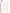

Courtney Dickenson U.S. Virgin Islands Department of Planning & Natural Resources, Department of Environmental Protection #45 Mars Hill Frederiksted, VI 00840

Jordan Dieckman Wisconsin Department of Health Services 1 W. Wilson Street Madison, WI 53703

Ken Diercouff Corpus Christi-Nueces County Public Health District Laboratory Division 1702 Horne Road Corpus Christi, TX 78416

Danny Doan City & County of Honolulu 1000 Uluohia Street Suite 303 Kapolei, HI 96707

Samuel Dorevitch University of Illinois at Chicago UIC School of Public Health 212 Chicago, IL 60612

Irena Draksic Massachusetts Department of Public Health Bureau of Environmental Health 250 Washington Street 7th Floor Boston, MA 02108

Al Dufour U.S. Environmental Protection Agency 26 West Martin Luther King Drive Cincinnati, OH 45268

Charles Dujardin Great Lakes Environmental Center 26 Dana Road West Caldwell, NJ 07006

Darcy Ebentier Amec Foster Wheeler E&I 9177 Sky Park Court San Diego, CA 92123

Thomas Edge Environment Canada 867 Lakeshore Road Burlington, ON L7R 4A6

Sorina Eftim ICF International

Catherine Elliott Harris County Flood Control **District** 9900 Northwest Freeway Houston, TX 77092

Ayse Ercumen University of California, Berkeley 50 University Hall Berkeley, CA 94720

Chelsey Erickson Erie County Department of Health 606 West 2nd Street Erie, PA 16507

Deondrea Evans Los Angeles County 5050 Commerce Drive Baldwin Park, CA 91706

Ryan Farlow Louisiana Department of Health & Hospitals 628 North 4th Street P.O. Box 4489 Baton Rouge, LA 70821

Emily Federer Port of New Orleans 1350 Port of New Orleans Place New Orleans, LA 70130

Evelyn Figueroa Puerto Rico Environmental Quality Board P.O. Box 11488 San Juan, PR 00910

Jay Fleisher Nova Southeastern University College of Medicine 3200 South University Drive Davie, FL 33324

Terrence Fleming U.S. Environmental Protection Agency, Region 9 75 Hawthorne San Francisco, CA 94105

Samantha Fontenelle U.S. Environmental Protection Agency 1200 Pennsylvania Avenue, NW WJC-West, Mail Code: 4305T Washington, DC 20460

Bess Foret Lafayette Consolidated Government 15151 East University Lafayette, LA 70502

Andrew Frierdich Illinois Department of Public Health 525 West Jefferson Street Springfield, IL 62761

Stefanie Gera Tetra Tech, Inc. 10306 Eaton Place Suite 340 Fairfax, VA 22030

Ellen Gilinsky U.S. Environmental Protection Agency 1200 Pennsylvania Avenue, NW Washington, DC 20004

Raul Gonzalez Hampton Roads Sanitation District 1434 Air Rail Avenue Virginia Beach, VA 23455

Ibrahim Goodwin U.S. Environmental Protection Agency 1301 Constitution Avenue, NW 6105BB EPA East Washington, DC 20460

Matthew Graul East Bay Regional Park District 2950 Peralta Oaks Court Oakland, CA 94605

David Graves South Carolina Department of Health & Environmental Control 2600 Bull Street Columbia, LA 29201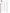

Rick Greene U.S. Environmental Protection Agency 1 Sabine Island Drive Gulf Breeze, FL 32561

Jason Gregory Los Angeles County Sanitation **Districts** 24501 South Figueroa Street Carson, CA 90745

Stephanie Gretsch Minnesota Department of Health 625 Robert Street North P.O. Box 64975 St. Paul, MN 55164

Leslie Griffin Heal the Bay 1444 9th Street Santa Monica, CA 90401

John Griffith Southern California Coastal Water Research Project 3535 Harbor Boulevard Suite 110 Costa Mesa, CA 92626

Alicia Grimaldi U.S. Environmental Protection Agency 5 Post Office Square Suite 100 OEP06-1 Boston, MA 02109

Ann Grimm U.S. Environmental Protection Agency 26 West Martin Luther King Drive Cincinnati, OH 45268

Jeff Gutierrez AbTech Industries 4110 N. Scottsdale Road Suite 235 Scottsdale, AZ 85251

Joseph Guzman Orange County Public Health Laboratory 600 Shellmaker Road Building A Newport Beach, CA 92660

Cindy Hakala Minnesota Department of Health 11 East Superior Street Suite 290 Duluth, MN 55802

Denise Hakowski U.S. Environmental Protection Agency, Region 3 1650 Arch Street Philadelphia, PA 19103

Hillary Halderman San Antonio River Authority 600 East Euclid San Antonio, TX 78283

Joel Hansel U.S. Environmental Protection Agency, Region 4 61 Forsyth Street, SW 15th Floor Atlanta, GA 30303

Valerie J. Harwood University of South Florida Tampa, FL 33620

Janet Hashimoto U.S. Environmental Protection Agency, Region 9 75 Hawthorne Street WTR-2-1 San Francisco, CA 94105

Rachel Hauge U.S. Environmental Protection Agency

Richard Haugland U.S. Environmental Protection Agency 26 West Martin Luther King Drive Cincinnati, OH 45268

Elizabeth D. Hilborn U.S. Environmental Protection Agency MD 58A Research Triangle Park, NC 27711

Al Hindrichs Louisiana Department of Environmental Quality

Sara Hisel-McCoy U.S. Environmental Protection Agency 1200 Pennsylvania Avenue, NW Washington, DC 20460

Chris Hornback National Association of Clean Water Agencies (NACWA) 1816 Jefferson Place, NW Washington, DC 20036

Li Huang New York City Department of Health and Mental Hygiene 42-09 28th Street Queens, NY 11101

Edward Hudgens U.S. Environmental Protection Agency Mail Drop 58C Research Triangle Park, NC 27711

Audrey Ichida ICF International 9300 Lee Highway Fairfax, VA 22031

Sunny Jiang University of California, Irvine 844 E Engineering Tower Irvine, CA 92617

Kaedra Jones ICF International 9300 Lee Highway Fairfax, VA 22031

Keri Kaczor University of Maine Cooperative Extension/Maine Sea Grant 377 Manktown Road Waldoboro, ME 04572

Abigail Kaminski University of Maine 5782 Winslow Hall Room 206 Orono, ME 04469

Cathy Kelty U.S. Environmental Protection Agency 26 West Martin Luther King Drive MS 681 Cincinnati, OH 45268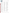

Vanna Kho City of Long Beach, Department of Health and Human Services 2525 Grand Avenue Suite 220 Long Beach, CA 90815

Minji Kim University of California, Davis One Shields Avenue 2001 Ghausi Hall

Julie Kinzelman City of Racine Health Department 730 Washington Avenue Racine, WI 53403

Marek Kirs University of Hawaii 2540 Dole Street Holmes Hall 283 Honolulu, HI 96822

Greg Kleinheinz University of Wisconsin, Oshkosh ERIC Lab 800 Algoma Boulevard Oshkosh, WI 54901

Asja Korajkic U.S. Environmental Protection Agency 26 West Martin Luther King Drive Cincinnati, OH 45268

Bill Kramer U.S. Environmental Protection Agency 1200 Pennsylvania Avenue, NW Washington, DC 20460

Wataru Kumagai Hawaii Department of Health 919 Ala Moana Boulevard, #301 Honolulu, HI 96814

Mauricio Larenas Source Molecular Corporation 4985 SW 74th Court Miami, FL 33155

Lisa Larimer U.S. Environmental Protection Agency 1200 Pennsylvania Avenue, NW Mail Code: 4305T Washington, DC 20460

Lance Larson Natural Resources Defense Council 1152 15th Street, NW Suite 300 Washington, DC 20005

Kellen Lauer Environmental Business Specialists 1930 Surgi Drive Mandeville, LA 70448

Ann Lavaty U.S. Environmental Protection Agency, Region 7 11201 Renner Boulevard Lenexa, KS 66219

Katherine Lavelle Texas Commission on Environmental Quality 12100 Park 35 Circle Building B Austin, TX 78753

Jiyoung Lee Ohio State University 1841 Neil Avenue 406 Cunz Hall Columbus, OH 43210

Chris Lemaire Louisiana Department of Health & Hospitals 628 North 4th Street P.O. Box 4489 Baton Rouge, LA 70821

Anna Maria Leon Guerrero Guam Environmental Protection Agency P.O. Box 22439 GMF Barrigada, GU 96921

Stephaney Leskinen UES, Inc. 4401 Dayton-Xenia Road Dayton, OH 45432

Xiang Li U.S. Environmental Protection Agency 26 West Martin Luther King Drive Office G61B Cincinnati, OH 45268

Tracy Lizotte Connecticut Department of Energy & Environmental Protection 79 Elm Street Hartford, CT 06106

Virginia Loftin New Jersey Department of Environmental Protection 401 East State Street P.O. Box 420, MC401-041 Trenton, NJ 08625

Jeff Manning North Carolina Department of Environmental Quality 1601 Mail Service Center Raleigh, NC 27601

Erin Martini Alabama Department of Public Health 757 Museum Drive Mobile, AL 36608

Diane Mas Fuss & O'Neill, Inc. 78 Interstate Drive West Springfield, MA 01089

Daisys Matthews Florida Department of Environmental Protection 2600 Blairstone Road MS6515 Tallahassee, FL 32399

Mia Mattioli Emory University 1578 Clifton Road Room 2032 Atlanta, GA 30322

Jennifer McDonnell Arlington County Department of Environmental Services 2100 Clarendon Boulevard Suite 705 Arlington, VA 22201

Jamie McGuire Tetra Tech, Inc. 10306 Eaton Place Suite 340 Fairfax, VA 22030

EPA ARCHIVE DOCUMENT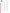

Tim McLean Tulane University 6823 St. Charles Avenue 400 Lindy Boggs New Orleans, LA 70118

Sandra McLellan University of Wisconsin-Milwaukee 600 East Greenfield Avenue Milwaukee, WI 53207

Brian McMinn U.S. Environmental Protection Agency 26 West Martin Luther King Drive Cincinnati, OH 45268

Trevor McProud New York City Department of Health and Mental Hygiene 42-09 28th Street Queens, NY 11101

Adam Mednick University of Wisconsin Sea Grant Institute 1975 Willow Drive Madison, WI 53706

Todd Megronigle AbTech Industries 4110 N. Scottsdale Road Suite 235 Scottsdale, AZ 85251

Heather Merritt Maryland Department of the Environment 1800 Washington Boulevard Suite 540 Baltimore, MD 21230

Michael Meyer Chattahoochee Riverkeeper 916 Joseph Lowery Boulevard, NW Suite 3 Atlanta, GA 30318

Marirosa Molina U.S. Environmental Protection Agency 960 College Station Road Athens, GA 30605

Hannah Moore Oregon Department of Environmental Quality 3150 NW 229th Avenue Suite 150 Hillsboro, OR 97124

Erin Morris South Carolina Department of Health & Environmental Control 1362 McMillan Avenue Suite 300 Charleston, SC 29405

Leah Motta U.S. Virgin Islands Department of Planning & Natural Resources, Department of Environmental Protection #45 Mars hill Frederiksted, VI 00840

Scott Murakawa Hawaii Department of Health 919 Ala Moana Boulevard Room 301 Honolulu, HI 96814

Olga Naidenko American Association for the Advancement of Science U.S. EPA Office of Water Office of Science and Technology Washington, DC 20460

Sharon Nappier U.S. Environmental Protection Agency 1200 Pennsylvania Avenue, NW Mail Code: 4304T Washington, DC 20460

Raghav Narayanan Anchor QEA, LLC 123 Tice Boulevard Woodcliff Lake, NJ 07677

Meghann Niesen U.S. Environmental Protection Agency 1200 Pennsylvania Avenue, NW Washington, DC 20460

Jean Pierre Nshimyimana Singapore-MIT Alliance for Research and Technology - CENSAM Singapore Centre for Environmental Life Sciences Engineering Nanyang Technological University (NTU) 60 Nanyang Drive Singapore, 639798

Diane O'Donohue City and County of San Francisco 3500 Great Highway San Francisco, CA 94132

Ryan Okano Saipan Bureau of Environmental and Coastal Quality P.O. Box 501304 Saipan, MP 96950

Watson Okubo Hawaii Department of Health 919 Ala Moana Boulevard, #301 Honolulu, HI 96814

Kathryn O'Mara U.S. Environmental Protection Agency 3115 Arrowhead Farms Road Gambrills, MD 21054

Kim Osborn ICF International 9300 Lee Highway Fairfax, VA 22031

Kevin Oshima U.S. Environmental Protection Agency 26 West Martin Luther King Drive Cincinnati, OH 45268

Lindsey Page City of Milwaukee Health Department 841 North Broadway Milwaukee, WI 53202

Andy Page InnovaPrep, LLC 132 East Main Drexel, MO 64742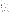

Aaron Parker Makah Tribe

Amie Parris Rhode Island Department of Health 3 Capitol Hill Room 205 Providence, RI 02908

Dave Payne South Carolina Department of Health & Environmental Control 104 Parker Drive Burton, SC 29906

Linda Pechacek LDP Consultants, Inc. 2115 Chantilly Lane Houston, TX 77018

Rob Pedersen U.S. Environmental Protection Agency, Region 10 1200 6th Avenue Suite 900 Seattle, WA 98101

James Pena Thermo Fisher Scientific 2130 Woodward Austin, TX 78744

Nancy Pierson Suffolk County Health Department 360 Yaphank Avenue Suite 2B Yaphank, NY 11980

Alan Piggot Rosenstiel School of Marine and Atmospheric Science 1448 Columbia Street Houston, TX 77008

Gretchen Pikul Alaska Department of Environmental Conservation 410 Willoughby Avenue Suite 303 Juneau, AK 99811-1800

W. David Polk Florida Department of Health 4052 Bald Cypress Way Bin A-08 Tallahassee, FL 32301

JD Potts North Carolina Department of Environmental Quality P.O. Box 769 Morehead City, NC 28557

Verna Potts Prairie Band Potawatomi Nation 15434 K Road Mayetta, KS 66509

Shannon Prendergast Tetra Tech, Inc. 10306 Eaton Place Suite 340 Fairfax, VA 22030

Eberto Presas The University of Texas Rio Grande Valley 100 Marine Lab Drive South Padre Island, TX 78597

Bryan Rabon South Carolina Department of Health & Environmental Control 2600 Bull Street Columbia, SC 29201

John Ravenscroft U.S. Environmental Protection Agency 1201 Pennsylvania Avenue, NW Mail Code: 4304T Washington, DC 20460

Ryan Reinke Los Angeles County Sanitation **Districts** 1965 Workman Mill Road Whittier, CA 90601

Sean Remata City & County of Honolulu 1350 Sand Island Parkway Honolulu, HI 96819

Jon Richardson Virginia Department of Health 23191 Front Street Accomac, VA 23301

Jennifer Richkus RTI International 701 13th Street, NW #750 Washington, DC 20005

Virginia Roberts Centers for Disease Control and Prevention National Center for Emerging and Zoonotic Infectious Diseases 1600 Clifton Road NE Mailstop C-09 Atlanta, GA 30329

Patsy Root IDEXX 1 IDEXX Drive Westbrook, ME 04092

Debbie Rouse Delaware Department of Natural Resources and Environmental Control 100 W. Water Street Suite 10 B Dover, DE 19904

Julianne Ruffner Washington State Department of Ecology 300 Desmond Drive, SE Lacey, WA 98503

Gerald Ruiz ATC Associates 3626 Westchase Drive Houston, TX 77042

Donald Sagrera Teche-Vermilion Fresh Water District 315 South College Suite 110 Lafayette, LA 70503

Edwin Robert Salas Guam Environmental Protection Agency P.O. Box 22439 GMF Barrigada, GU 96921

Joel Salter U.S. Environmental Protection Agency, Region 10 805 SW Broadway Suite 500 Portland, OR 97205

Elizabeth Sams U.S. Environmental Protection Agency 109 T.W. Alexander Drive Research Triangle Park, NC 27711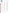

Debby Sargeant Washington State Department of Ecology and Health 300 Desmond Drive P.O. Box 47600 Lacey, WA 98504

Lauren Sassoubre University at Buffalo (SUNY) 87 University Avenue Buffalo, NY 14214

Phillip Scanlan 1832 Village Court Amelia Island, FL 32034

Jeanette Schnars Regional Science Consortium 301 Peninsula Drive Suite 9 Erie, PA 16505

Josh Schultz Idaho Department of Environmental Quality 1410 North Hilton Boise, ID 83634

Orin Shanks U.S. Environmental Protection Agency 26 West Martin Luther King Drive Cincinnati, OH 45268

Dan Shapley Riverkeeper 20 Secor Road Ossining, NY 10562

Drew Sheehan Alabama Department of Public Health 757 Museum Drive Mobile, AL 36608

Samendra Sherchan Tulane University 1440 Canal Street Suite 2100 New Orleans, LA 70112

Nilay Sheth University of Wisconsin, Oshkosh 800 Algoma Boulevard Oshkosh, WI 54901

Abhilasha Shrestha University of Illinois at Chicago 2121 West Taylor Street Mail Code: 922 Chicago, IL 60612

Reid Simmer University of Iowa 116 Hawkeye Court Apartment 201 Iowa City, IA 52246

La Dona Slack Corpus Christi-Nueces County Public Health District Laboratory Division 1702 Horne Road Corpus Christi, TX 78416

Margaret Smigo Virginia Department of Health 109 Governor Street P.O. Box 2448 Richmond, VA 23219

Mark Sobsey University of North Carolina, Chapel Hill 135 Dauer Drive CB # 7431 Chapel Hill, NC 27599

Jeff Soler Soller Environmental

Helena Solo-Gabriele University of Miami 1251 Memorial Drive McArthur Engineering Building, Room 252 Coral Gables, FL 33146

Chris Stevenson CGI Federal, Inc

Amber Stilwell Regional Science Consortium 301 Peninsula Drive Suite 9 Erie, PA 16505

Veeraraghavan Sundar UES Inc. 4401 Dayton Xenia Road Dayton, OH 45432

Danielle Tesch U.S. Environmental Protection Agency 1650 Arch Street Mail Code: 3Ai00 Philadelphia, PA 19103

Beverly L. Thomas Government of the Virgin Islands 3438 Kronprindsens Gade 3rd Floor GERS Building St. Thomas, VI 00802

Charles Thompson Mississippi Department of Environmental Quality P.O. Box 2261 Jackson, MS 39225

Jason Thompson Swinomish Department of Environmental Protection 11430 Moorage Way La Conner, WA 98229

Hannah Thompson Hampton Roads Sanitation District 1432 Air Rail Avenue Virginia Beach, VA 23455

Vanessa Thulsiraj Mount Saint Mary's University 4595 California Avenue Unit 405 Long Beach, CA 90807

Steven Tidwell Food and Drug Administration 5100 Paint Branch Parkway HFS 325, Room 3C-085 College Park, MD 20740

Tony Truong Bio-Rad Laboratories 2000 Alfred Nobel Drive Hercules, CA 94547

Jewel Tuiasosopo American Samoa Environmental Protection Agency P.O. Box 3943 Pago Pago, AS 96799